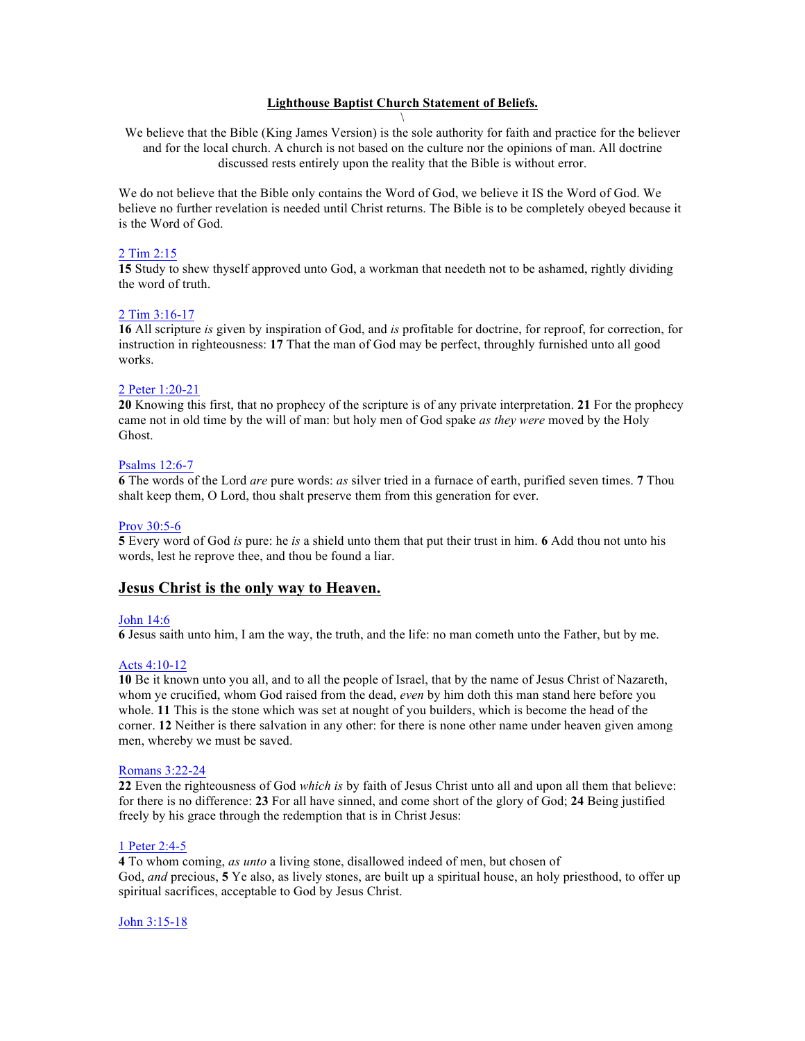## **Lighthouse Baptist Church Statement of Beliefs.** \

We believe that the Bible (King James Version) is the sole authority for faith and practice for the believer and for the local church. A church is not based on the culture nor the opinions of man. All doctrine discussed rests entirely upon the reality that the Bible is without error.

We do not believe that the Bible only contains the Word of God, we believe it IS the Word of God. We believe no further revelation is needed until Christ returns. The Bible is to be completely obeyed because it is the Word of God.

### 2 Tim 2:15

**15** Study to shew thyself approved unto God, a workman that needeth not to be ashamed, rightly dividing the word of truth.

### 2 Tim 3:16-17

**16** All scripture *is* given by inspiration of God, and *is* profitable for doctrine, for reproof, for correction, for instruction in righteousness: **17** That the man of God may be perfect, throughly furnished unto all good works.

### 2 Peter 1:20-21

**20** Knowing this first, that no prophecy of the scripture is of any private interpretation. **21** For the prophecy came not in old time by the will of man: but holy men of God spake *as they were* moved by the Holy Ghost.

### Psalms 12:6-7

**6** The words of the Lord *are* pure words: *as* silver tried in a furnace of earth, purified seven times. **7** Thou shalt keep them, O Lord, thou shalt preserve them from this generation for ever.

### Prov 30:5-6

**5** Every word of God *is* pure: he *is* a shield unto them that put their trust in him. **6** Add thou not unto his words, lest he reprove thee, and thou be found a liar.

# **Jesus Christ is the only way to Heaven.**

### John 14:6

**6** Jesus saith unto him, I am the way, the truth, and the life: no man cometh unto the Father, but by me.

### Acts 4:10-12

**10** Be it known unto you all, and to all the people of Israel, that by the name of Jesus Christ of Nazareth, whom ye crucified, whom God raised from the dead, *even* by him doth this man stand here before you whole. **11** This is the stone which was set at nought of you builders, which is become the head of the corner. **12** Neither is there salvation in any other: for there is none other name under heaven given among men, whereby we must be saved.

### Romans 3:22-24

**22** Even the righteousness of God *which is* by faith of Jesus Christ unto all and upon all them that believe: for there is no difference: **23** For all have sinned, and come short of the glory of God; **24** Being justified freely by his grace through the redemption that is in Christ Jesus:

### 1 Peter 2:4-5

**4** To whom coming, *as unto* a living stone, disallowed indeed of men, but chosen of God, *and* precious, **5** Ye also, as lively stones, are built up a spiritual house, an holy priesthood, to offer up spiritual sacrifices, acceptable to God by Jesus Christ.

### John 3:15-18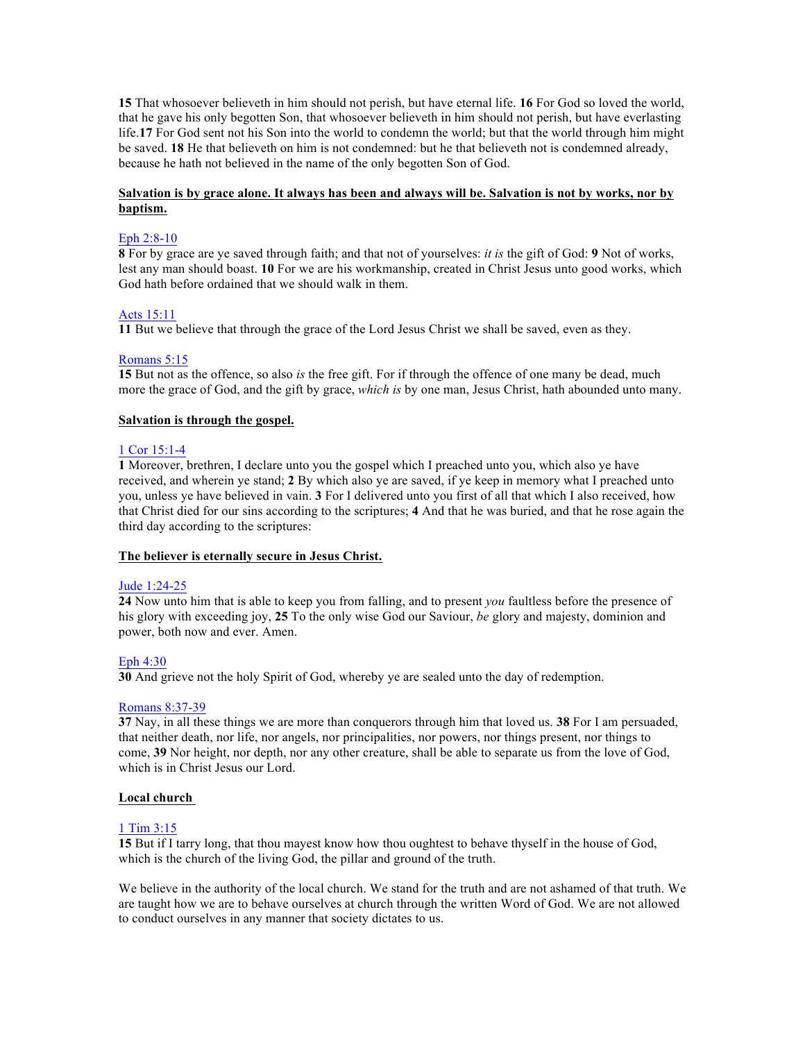**15** That whosoever believeth in him should not perish, but have eternal life. **16** For God so loved the world, that he gave his only begotten Son, that whosoever believeth in him should not perish, but have everlasting life.**17** For God sent not his Son into the world to condemn the world; but that the world through him might be saved. **18** He that believeth on him is not condemned: but he that believeth not is condemned already, because he hath not believed in the name of the only begotten Son of God.

## **Salvation is by grace alone. It always has been and always will be. Salvation is not by works, nor by baptism.**

## Eph 2:8-10

**8** For by grace are ye saved through faith; and that not of yourselves: *it is* the gift of God: **9** Not of works, lest any man should boast. **10** For we are his workmanship, created in Christ Jesus unto good works, which God hath before ordained that we should walk in them.

### Acts 15:11

**11** But we believe that through the grace of the Lord Jesus Christ we shall be saved, even as they.

### Romans 5:15

**15** But not as the offence, so also *is* the free gift. For if through the offence of one many be dead, much more the grace of God, and the gift by grace, *which is* by one man, Jesus Christ, hath abounded unto many.

### **Salvation is through the gospel.**

### 1 Cor 15:1-4

**1** Moreover, brethren, I declare unto you the gospel which I preached unto you, which also ye have received, and wherein ye stand; **2** By which also ye are saved, if ye keep in memory what I preached unto you, unless ye have believed in vain. **3** For I delivered unto you first of all that which I also received, how that Christ died for our sins according to the scriptures; **4** And that he was buried, and that he rose again the third day according to the scriptures:

### **The believer is eternally secure in Jesus Christ.**

### Jude 1:24-25

**24** Now unto him that is able to keep you from falling, and to present *you* faultless before the presence of his glory with exceeding joy, **25** To the only wise God our Saviour, *be* glory and majesty, dominion and power, both now and ever. Amen.

# Eph 4:30

**30** And grieve not the holy Spirit of God, whereby ye are sealed unto the day of redemption.

### Romans 8:37-39

**37** Nay, in all these things we are more than conquerors through him that loved us. **38** For I am persuaded, that neither death, nor life, nor angels, nor principalities, nor powers, nor things present, nor things to come, **39** Nor height, nor depth, nor any other creature, shall be able to separate us from the love of God, which is in Christ Jesus our Lord.

### **Local church**

### 1 Tim 3:15

**15** But if I tarry long, that thou mayest know how thou oughtest to behave thyself in the house of God, which is the church of the living God, the pillar and ground of the truth.

We believe in the authority of the local church. We stand for the truth and are not ashamed of that truth. We are taught how we are to behave ourselves at church through the written Word of God. We are not allowed to conduct ourselves in any manner that society dictates to us.